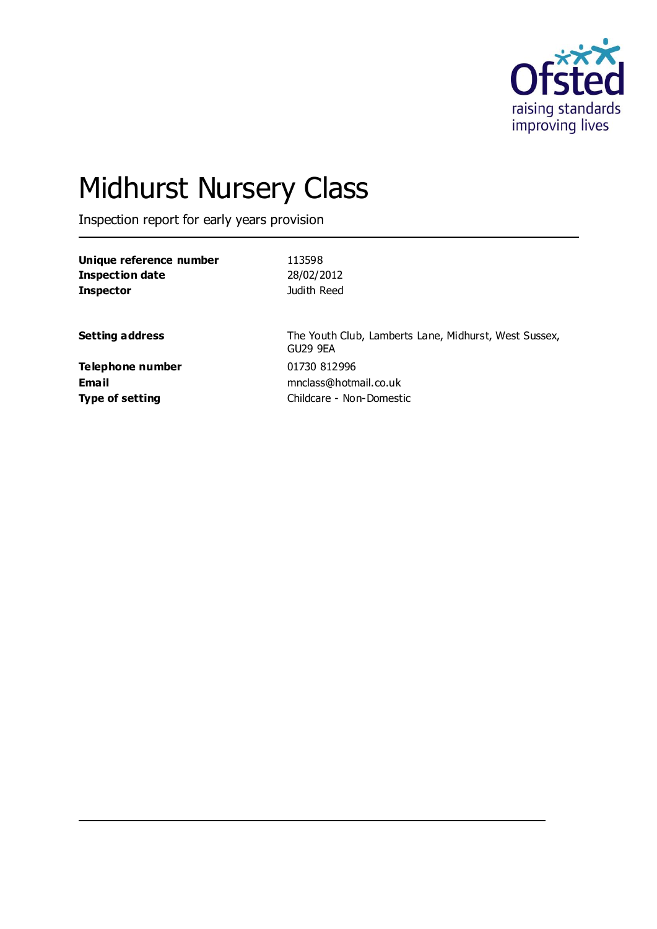

# Midhurst Nursery Class

Inspection report for early years provision

| 113598                                                            |
|-------------------------------------------------------------------|
| 28/02/2012                                                        |
| Judith Reed                                                       |
| The Youth Club, Lamberts Lane, Midhurst, West Sussex,<br>GU29 9EA |
| 01730 812996<br>mnclass@hotmail.co.uk                             |
| Childcare - Non-Domestic                                          |
|                                                                   |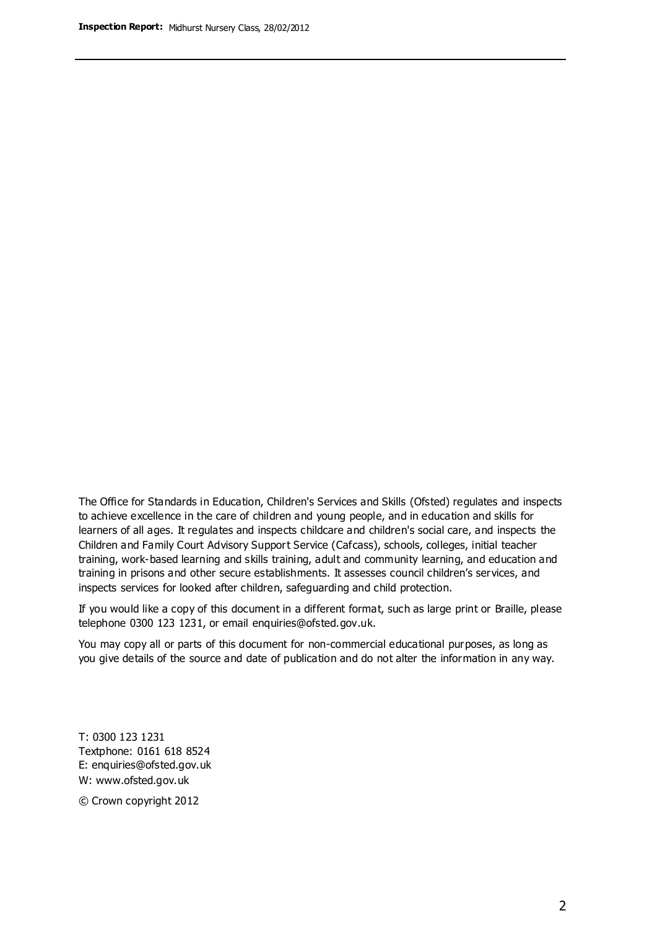The Office for Standards in Education, Children's Services and Skills (Ofsted) regulates and inspects to achieve excellence in the care of children and young people, and in education and skills for learners of all ages. It regulates and inspects childcare and children's social care, and inspects the Children and Family Court Advisory Support Service (Cafcass), schools, colleges, initial teacher training, work-based learning and skills training, adult and community learning, and education and training in prisons and other secure establishments. It assesses council children's services, and inspects services for looked after children, safeguarding and child protection.

If you would like a copy of this document in a different format, such as large print or Braille, please telephone 0300 123 1231, or email enquiries@ofsted.gov.uk.

You may copy all or parts of this document for non-commercial educational purposes, as long as you give details of the source and date of publication and do not alter the information in any way.

T: 0300 123 1231 Textphone: 0161 618 8524 E: enquiries@ofsted.gov.uk W: [www.ofsted.gov.uk](http://www.ofsted.gov.uk/)

© Crown copyright 2012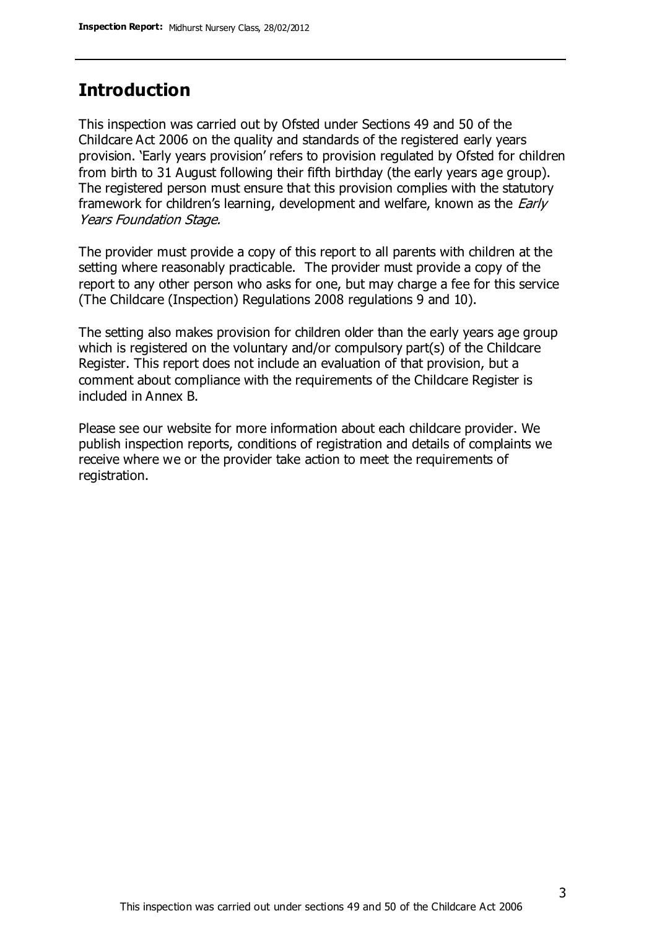## **Introduction**

This inspection was carried out by Ofsted under Sections 49 and 50 of the Childcare Act 2006 on the quality and standards of the registered early years provision. 'Early years provision' refers to provision regulated by Ofsted for children from birth to 31 August following their fifth birthday (the early years age group). The registered person must ensure that this provision complies with the statutory framework for children's learning, development and welfare, known as the *Early* Years Foundation Stage.

The provider must provide a copy of this report to all parents with children at the setting where reasonably practicable. The provider must provide a copy of the report to any other person who asks for one, but may charge a fee for this service (The Childcare (Inspection) Regulations 2008 regulations 9 and 10).

The setting also makes provision for children older than the early years age group which is registered on the voluntary and/or compulsory part(s) of the Childcare Register. This report does not include an evaluation of that provision, but a comment about compliance with the requirements of the Childcare Register is included in Annex B.

Please see our website for more information about each childcare provider. We publish inspection reports, conditions of registration and details of complaints we receive where we or the provider take action to meet the requirements of registration.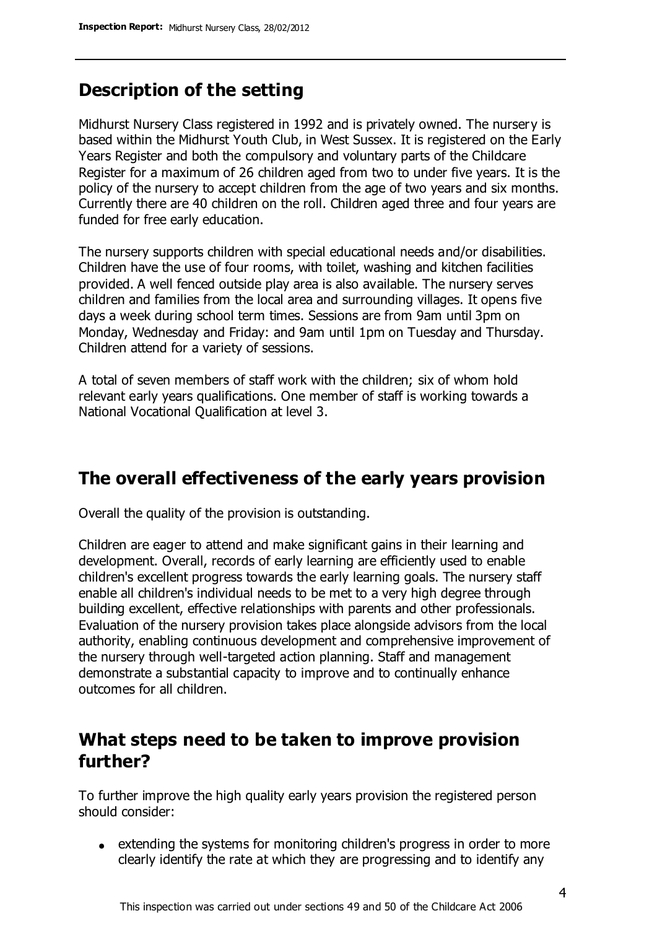# **Description of the setting**

Midhurst Nursery Class registered in 1992 and is privately owned. The nursery is based within the Midhurst Youth Club, in West Sussex. It is registered on the Early Years Register and both the compulsory and voluntary parts of the Childcare Register for a maximum of 26 children aged from two to under five years. It is the policy of the nursery to accept children from the age of two years and six months. Currently there are 40 children on the roll. Children aged three and four years are funded for free early education.

The nursery supports children with special educational needs and/or disabilities. Children have the use of four rooms, with toilet, washing and kitchen facilities provided. A well fenced outside play area is also available. The nursery serves children and families from the local area and surrounding villages. It opens five days a week during school term times. Sessions are from 9am until 3pm on Monday, Wednesday and Friday: and 9am until 1pm on Tuesday and Thursday. Children attend for a variety of sessions.

A total of seven members of staff work with the children; six of whom hold relevant early years qualifications. One member of staff is working towards a National Vocational Qualification at level 3.

## **The overall effectiveness of the early years provision**

Overall the quality of the provision is outstanding.

Children are eager to attend and make significant gains in their learning and development. Overall, records of early learning are efficiently used to enable children's excellent progress towards the early learning goals. The nursery staff enable all children's individual needs to be met to a very high degree through building excellent, effective relationships with parents and other professionals. Evaluation of the nursery provision takes place alongside advisors from the local authority, enabling continuous development and comprehensive improvement of the nursery through well-targeted action planning. Staff and management demonstrate a substantial capacity to improve and to continually enhance outcomes for all children.

# **What steps need to be taken to improve provision further?**

To further improve the high quality early years provision the registered person should consider:

extending the systems for monitoring children's progress in order to more clearly identify the rate at which they are progressing and to identify any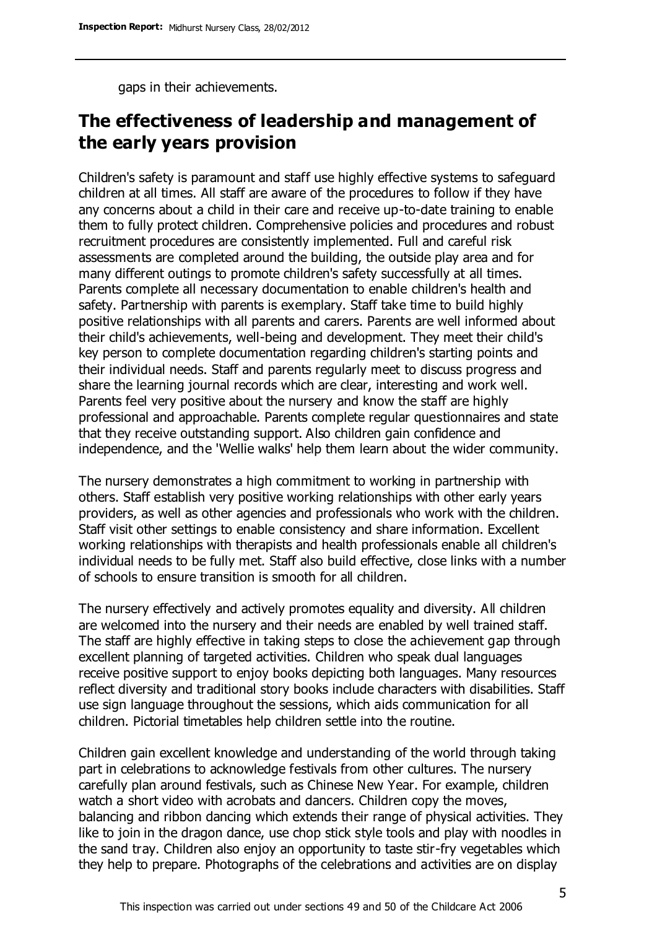gaps in their achievements.

# **The effectiveness of leadership and management of the early years provision**

Children's safety is paramount and staff use highly effective systems to safeguard children at all times. All staff are aware of the procedures to follow if they have any concerns about a child in their care and receive up-to-date training to enable them to fully protect children. Comprehensive policies and procedures and robust recruitment procedures are consistently implemented. Full and careful risk assessments are completed around the building, the outside play area and for many different outings to promote children's safety successfully at all times. Parents complete all necessary documentation to enable children's health and safety. Partnership with parents is exemplary. Staff take time to build highly positive relationships with all parents and carers. Parents are well informed about their child's achievements, well-being and development. They meet their child's key person to complete documentation regarding children's starting points and their individual needs. Staff and parents regularly meet to discuss progress and share the learning journal records which are clear, interesting and work well. Parents feel very positive about the nursery and know the staff are highly professional and approachable. Parents complete regular questionnaires and state that they receive outstanding support. Also children gain confidence and independence, and the 'Wellie walks' help them learn about the wider community.

The nursery demonstrates a high commitment to working in partnership with others. Staff establish very positive working relationships with other early years providers, as well as other agencies and professionals who work with the children. Staff visit other settings to enable consistency and share information. Excellent working relationships with therapists and health professionals enable all children's individual needs to be fully met. Staff also build effective, close links with a number of schools to ensure transition is smooth for all children.

The nursery effectively and actively promotes equality and diversity. All children are welcomed into the nursery and their needs are enabled by well trained staff. The staff are highly effective in taking steps to close the achievement gap through excellent planning of targeted activities. Children who speak dual languages receive positive support to enjoy books depicting both languages. Many resources reflect diversity and traditional story books include characters with disabilities. Staff use sign language throughout the sessions, which aids communication for all children. Pictorial timetables help children settle into the routine.

Children gain excellent knowledge and understanding of the world through taking part in celebrations to acknowledge festivals from other cultures. The nursery carefully plan around festivals, such as Chinese New Year. For example, children watch a short video with acrobats and dancers. Children copy the moves, balancing and ribbon dancing which extends their range of physical activities. They like to join in the dragon dance, use chop stick style tools and play with noodles in the sand tray. Children also enjoy an opportunity to taste stir-fry vegetables which they help to prepare. Photographs of the celebrations and activities are on display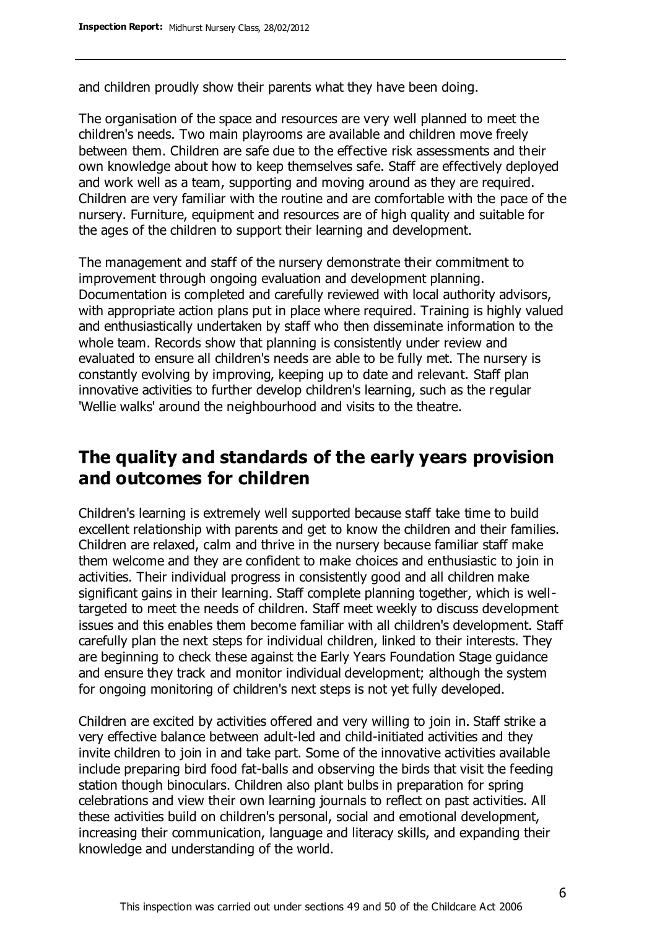and children proudly show their parents what they have been doing.

The organisation of the space and resources are very well planned to meet the children's needs. Two main playrooms are available and children move freely between them. Children are safe due to the effective risk assessments and their own knowledge about how to keep themselves safe. Staff are effectively deployed and work well as a team, supporting and moving around as they are required. Children are very familiar with the routine and are comfortable with the pace of the nursery. Furniture, equipment and resources are of high quality and suitable for the ages of the children to support their learning and development.

The management and staff of the nursery demonstrate their commitment to improvement through ongoing evaluation and development planning. Documentation is completed and carefully reviewed with local authority advisors, with appropriate action plans put in place where required. Training is highly valued and enthusiastically undertaken by staff who then disseminate information to the whole team. Records show that planning is consistently under review and evaluated to ensure all children's needs are able to be fully met. The nursery is constantly evolving by improving, keeping up to date and relevant. Staff plan innovative activities to further develop children's learning, such as the regular 'Wellie walks' around the neighbourhood and visits to the theatre.

# **The quality and standards of the early years provision and outcomes for children**

Children's learning is extremely well supported because staff take time to build excellent relationship with parents and get to know the children and their families. Children are relaxed, calm and thrive in the nursery because familiar staff make them welcome and they are confident to make choices and enthusiastic to join in activities. Their individual progress in consistently good and all children make significant gains in their learning. Staff complete planning together, which is welltargeted to meet the needs of children. Staff meet weekly to discuss development issues and this enables them become familiar with all children's development. Staff carefully plan the next steps for individual children, linked to their interests. They are beginning to check these against the Early Years Foundation Stage guidance and ensure they track and monitor individual development; although the system for ongoing monitoring of children's next steps is not yet fully developed.

Children are excited by activities offered and very willing to join in. Staff strike a very effective balance between adult-led and child-initiated activities and they invite children to join in and take part. Some of the innovative activities available include preparing bird food fat-balls and observing the birds that visit the feeding station though binoculars. Children also plant bulbs in preparation for spring celebrations and view their own learning journals to reflect on past activities. All these activities build on children's personal, social and emotional development, increasing their communication, language and literacy skills, and expanding their knowledge and understanding of the world.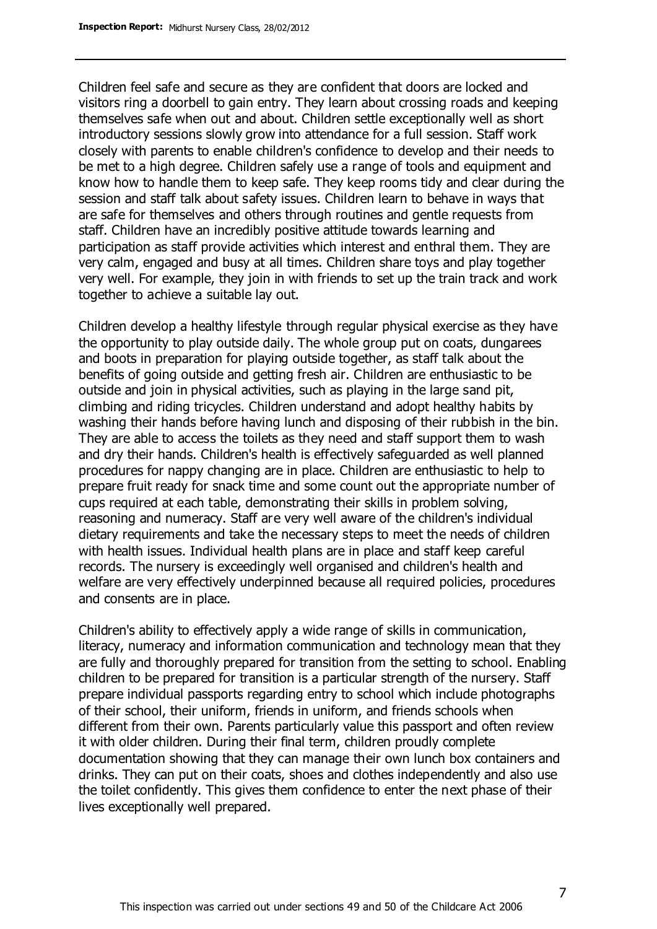Children feel safe and secure as they are confident that doors are locked and visitors ring a doorbell to gain entry. They learn about crossing roads and keeping themselves safe when out and about. Children settle exceptionally well as short introductory sessions slowly grow into attendance for a full session. Staff work closely with parents to enable children's confidence to develop and their needs to be met to a high degree. Children safely use a range of tools and equipment and know how to handle them to keep safe. They keep rooms tidy and clear during the session and staff talk about safety issues. Children learn to behave in ways that are safe for themselves and others through routines and gentle requests from staff. Children have an incredibly positive attitude towards learning and participation as staff provide activities which interest and enthral them. They are very calm, engaged and busy at all times. Children share toys and play together very well. For example, they join in with friends to set up the train track and work together to achieve a suitable lay out.

Children develop a healthy lifestyle through regular physical exercise as they have the opportunity to play outside daily. The whole group put on coats, dungarees and boots in preparation for playing outside together, as staff talk about the benefits of going outside and getting fresh air. Children are enthusiastic to be outside and join in physical activities, such as playing in the large sand pit, climbing and riding tricycles. Children understand and adopt healthy habits by washing their hands before having lunch and disposing of their rubbish in the bin. They are able to access the toilets as they need and staff support them to wash and dry their hands. Children's health is effectively safeguarded as well planned procedures for nappy changing are in place. Children are enthusiastic to help to prepare fruit ready for snack time and some count out the appropriate number of cups required at each table, demonstrating their skills in problem solving, reasoning and numeracy. Staff are very well aware of the children's individual dietary requirements and take the necessary steps to meet the needs of children with health issues. Individual health plans are in place and staff keep careful records. The nursery is exceedingly well organised and children's health and welfare are very effectively underpinned because all required policies, procedures and consents are in place.

Children's ability to effectively apply a wide range of skills in communication, literacy, numeracy and information communication and technology mean that they are fully and thoroughly prepared for transition from the setting to school. Enabling children to be prepared for transition is a particular strength of the nursery. Staff prepare individual passports regarding entry to school which include photographs of their school, their uniform, friends in uniform, and friends schools when different from their own. Parents particularly value this passport and often review it with older children. During their final term, children proudly complete documentation showing that they can manage their own lunch box containers and drinks. They can put on their coats, shoes and clothes independently and also use the toilet confidently. This gives them confidence to enter the next phase of their lives exceptionally well prepared.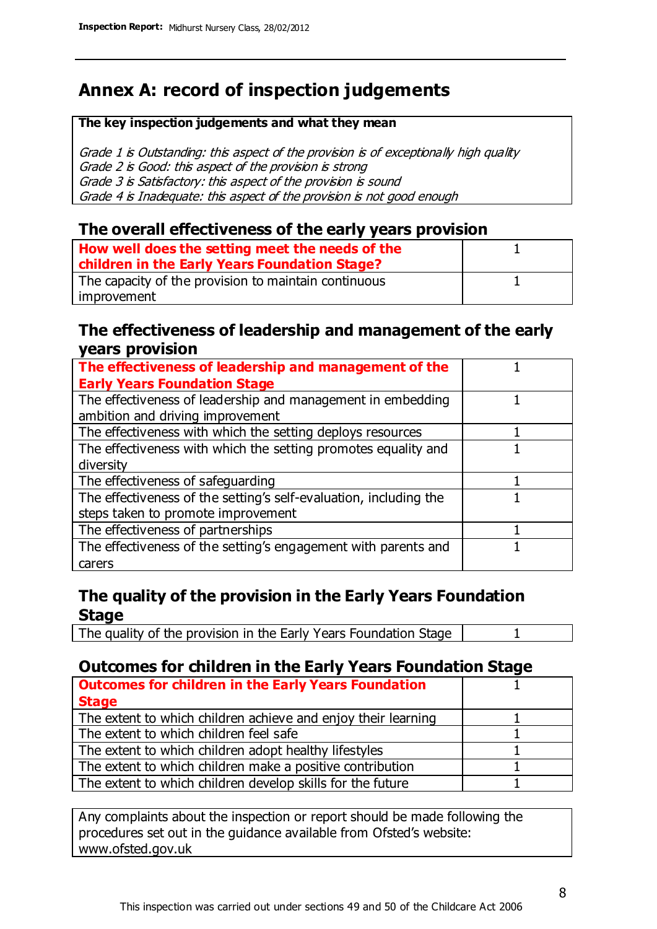# **Annex A: record of inspection judgements**

#### **The key inspection judgements and what they mean**

Grade 1 is Outstanding: this aspect of the provision is of exceptionally high quality Grade 2 is Good: this aspect of the provision is strong Grade 3 is Satisfactory: this aspect of the provision is sound Grade 4 is Inadequate: this aspect of the provision is not good enough

### **The overall effectiveness of the early years provision**

| How well does the setting meet the needs of the<br>children in the Early Years Foundation Stage? |  |
|--------------------------------------------------------------------------------------------------|--|
| The capacity of the provision to maintain continuous                                             |  |
| improvement                                                                                      |  |

### **The effectiveness of leadership and management of the early years provision**

| The effectiveness of leadership and management of the             |  |
|-------------------------------------------------------------------|--|
| <b>Early Years Foundation Stage</b>                               |  |
| The effectiveness of leadership and management in embedding       |  |
| ambition and driving improvement                                  |  |
| The effectiveness with which the setting deploys resources        |  |
| The effectiveness with which the setting promotes equality and    |  |
| diversity                                                         |  |
| The effectiveness of safeguarding                                 |  |
| The effectiveness of the setting's self-evaluation, including the |  |
| steps taken to promote improvement                                |  |
| The effectiveness of partnerships                                 |  |
| The effectiveness of the setting's engagement with parents and    |  |
| carers                                                            |  |

## **The quality of the provision in the Early Years Foundation Stage**

The quality of the provision in the Early Years Foundation Stage | 1

## **Outcomes for children in the Early Years Foundation Stage**

| <b>Outcomes for children in the Early Years Foundation</b>    |  |
|---------------------------------------------------------------|--|
| <b>Stage</b>                                                  |  |
| The extent to which children achieve and enjoy their learning |  |
| The extent to which children feel safe                        |  |
| The extent to which children adopt healthy lifestyles         |  |
| The extent to which children make a positive contribution     |  |
| The extent to which children develop skills for the future    |  |

Any complaints about the inspection or report should be made following the procedures set out in the guidance available from Ofsted's website: www.ofsted.gov.uk